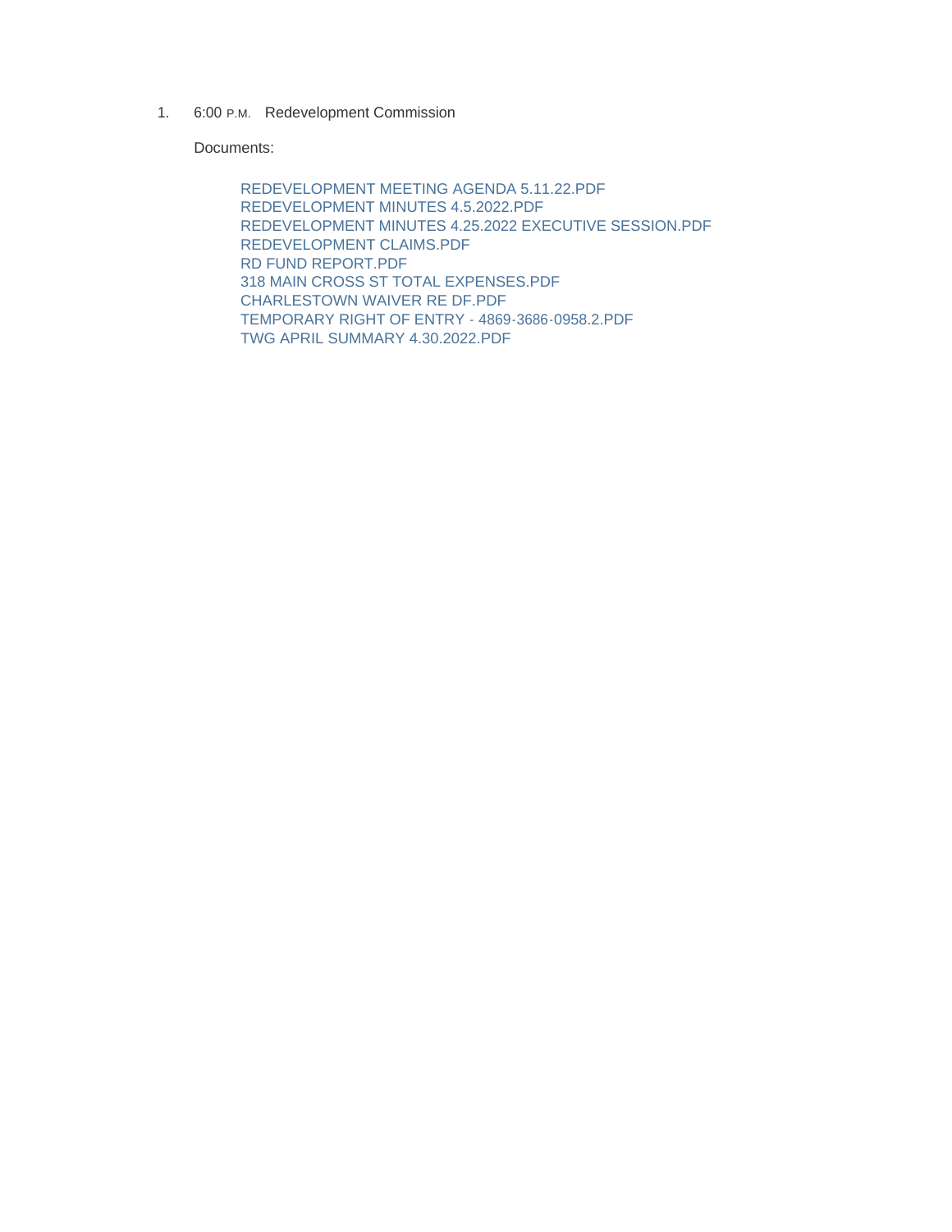1. 6:00 P.M. Redevelopment Commission

Documents:

REDEVELOPMENT MEETING AGENDA 5.11.22.PDF REDEVELOPMENT MINUTES 4.5.2022.PDF REDEVELOPMENT MINUTES 4.25.2022 EXECUTIVE SESSION.PDF REDEVELOPMENT CLAIMS.PDF RD FUND REPORT.PDF 318 MAIN CROSS ST TOTAL EXPENSES.PDF CHARLESTOWN WAIVER RE DF.PDF TEMPORARY RIGHT OF ENTRY - 4869-3686-0958.2.PDF TWG APRIL SUMMARY 4.30.2022.PDF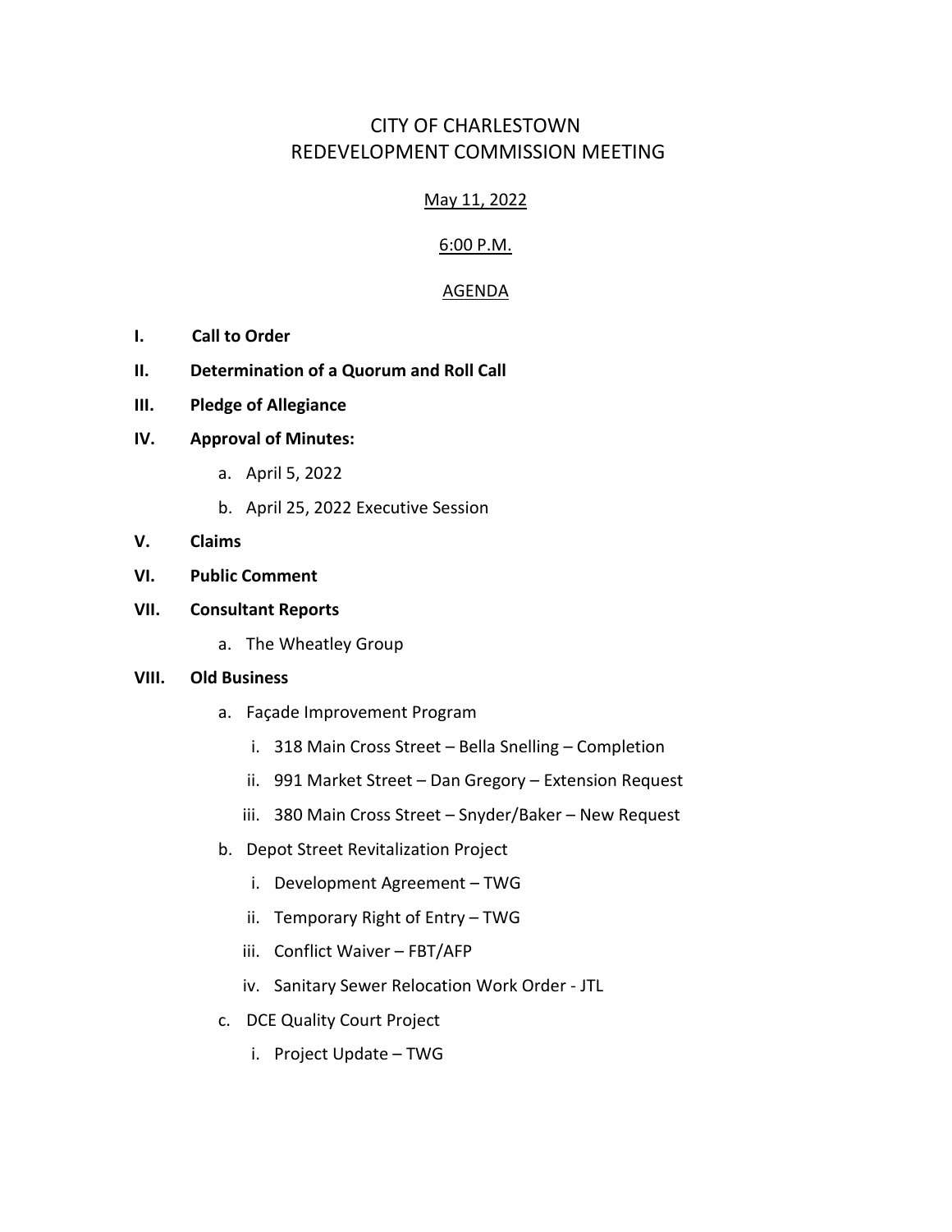# CITY OF CHARLESTOWN REDEVELOPMENT COMMISSION MEETING

# May 11, 2022

# 6:00 P.M.

# AGENDA

- **I. Call to Order**
- **II. Determination of a Quorum and Roll Call**
- **III. Pledge of Allegiance**

#### **IV. Approval of Minutes:**

- a. April 5, 2022
- b. April 25, 2022 Executive Session
- **V. Claims**

### **VI. Public Comment**

### **VII. Consultant Reports**

a. The Wheatley Group

#### **VIII. Old Business**

- a. Façade Improvement Program
	- i. 318 Main Cross Street Bella Snelling Completion
	- ii. 991 Market Street Dan Gregory Extension Request
	- iii. 380 Main Cross Street Snyder/Baker New Request
- b. Depot Street Revitalization Project
	- i. Development Agreement TWG
	- ii. Temporary Right of Entry TWG
	- iii. Conflict Waiver FBT/AFP
	- iv. Sanitary Sewer Relocation Work Order JTL
- c. DCE Quality Court Project
	- i. Project Update TWG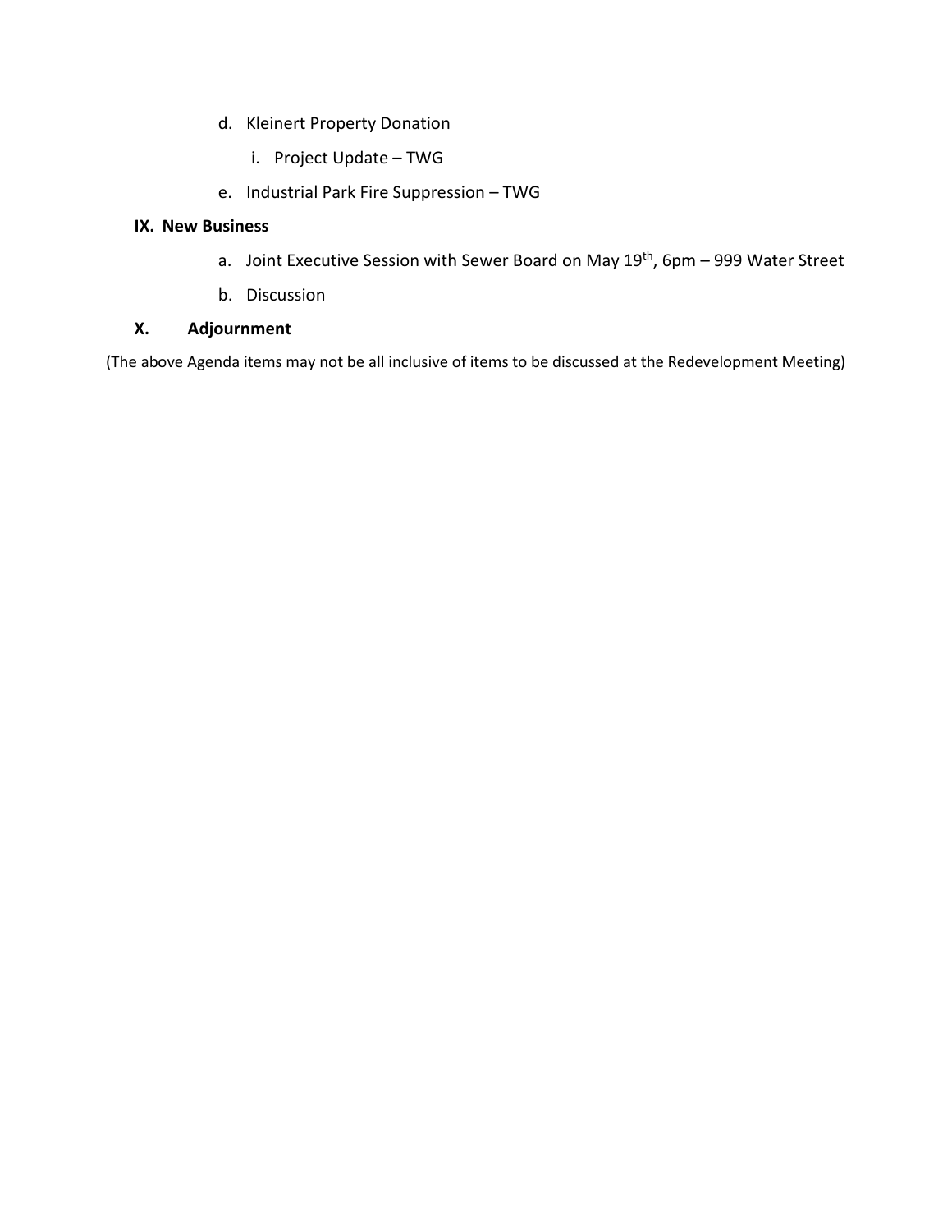- d. Kleinert Property Donation
	- i. Project Update TWG
- e. Industrial Park Fire Suppression TWG

### **IX. New Business**

- a. Joint Executive Session with Sewer Board on May 19<sup>th</sup>, 6pm 999 Water Street
- b. Discussion

### **X. Adjournment**

(The above Agenda items may not be all inclusive of items to be discussed at the Redevelopment Meeting)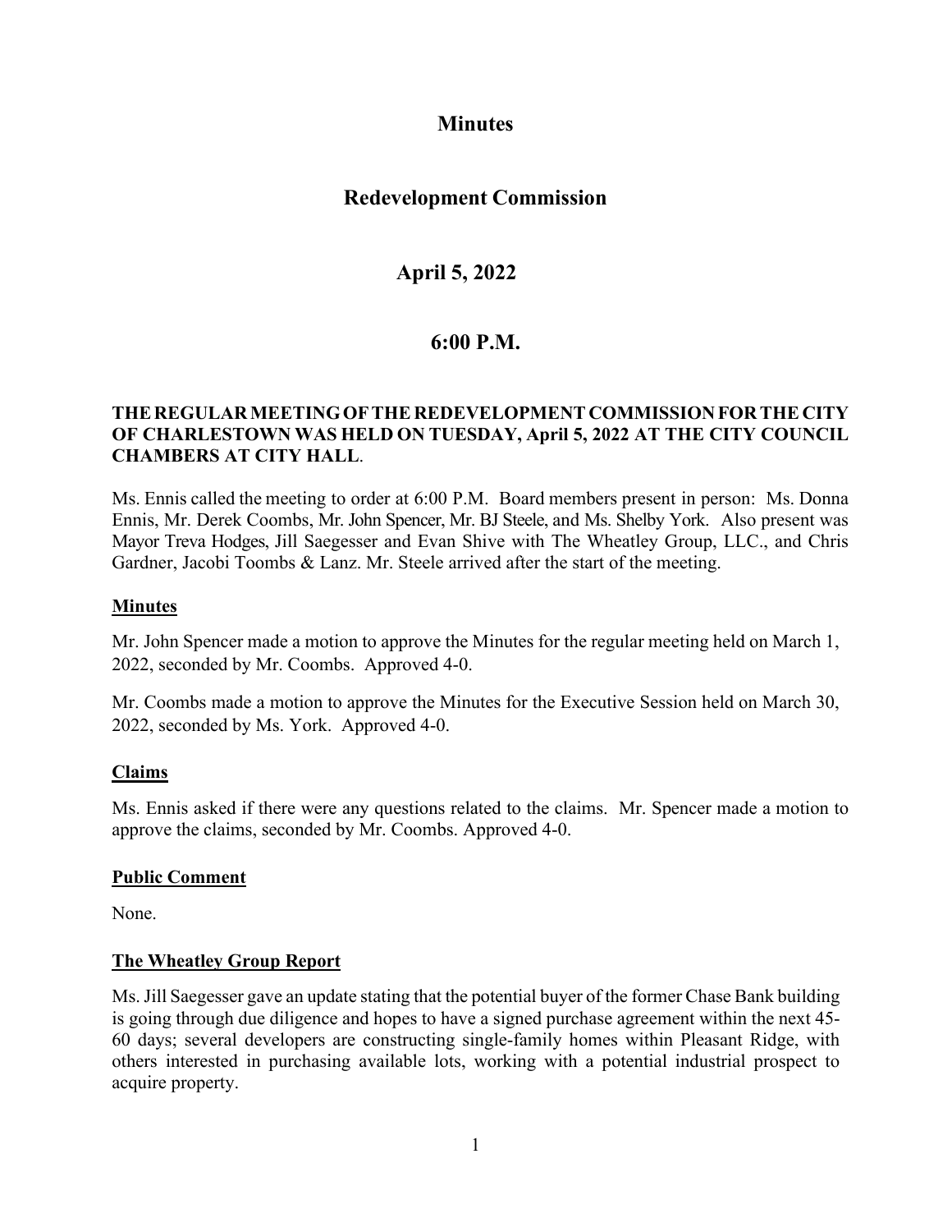# **Minutes**

# **Redevelopment Commission**

# **April 5, 2022**

# **6:00 P.M.**

### **THEREGULARMEETINGOFTHE REDEVELOPMENT COMMISSIONFOR THE CITY OF CHARLESTOWN WAS HELD ON TUESDAY, April 5, 2022 AT THE CITY COUNCIL CHAMBERS AT CITY HALL**.

Ms. Ennis called the meeting to order at 6:00 P.M. Board members present in person: Ms. Donna Ennis, Mr. Derek Coombs, Mr. John Spencer, Mr. BJ Steele, and Ms. Shelby York. Also present was Mayor Treva Hodges, Jill Saegesser and Evan Shive with The Wheatley Group, LLC., and Chris Gardner, Jacobi Toombs & Lanz. Mr. Steele arrived after the start of the meeting.

### **Minutes**

Mr. John Spencer made a motion to approve the Minutes for the regular meeting held on March 1, 2022, seconded by Mr. Coombs. Approved 4-0.

Mr. Coombs made a motion to approve the Minutes for the Executive Session held on March 30, 2022, seconded by Ms. York. Approved 4-0.

#### **Claims**

Ms. Ennis asked if there were any questions related to the claims. Mr. Spencer made a motion to approve the claims, seconded by Mr. Coombs. Approved 4-0.

#### **Public Comment**

None.

#### **The Wheatley Group Report**

Ms. Jill Saegesser gave an update stating that the potential buyer of the former Chase Bank building is going through due diligence and hopes to have a signed purchase agreement within the next 45- 60 days; several developers are constructing single-family homes within Pleasant Ridge, with others interested in purchasing available lots, working with a potential industrial prospect to acquire property.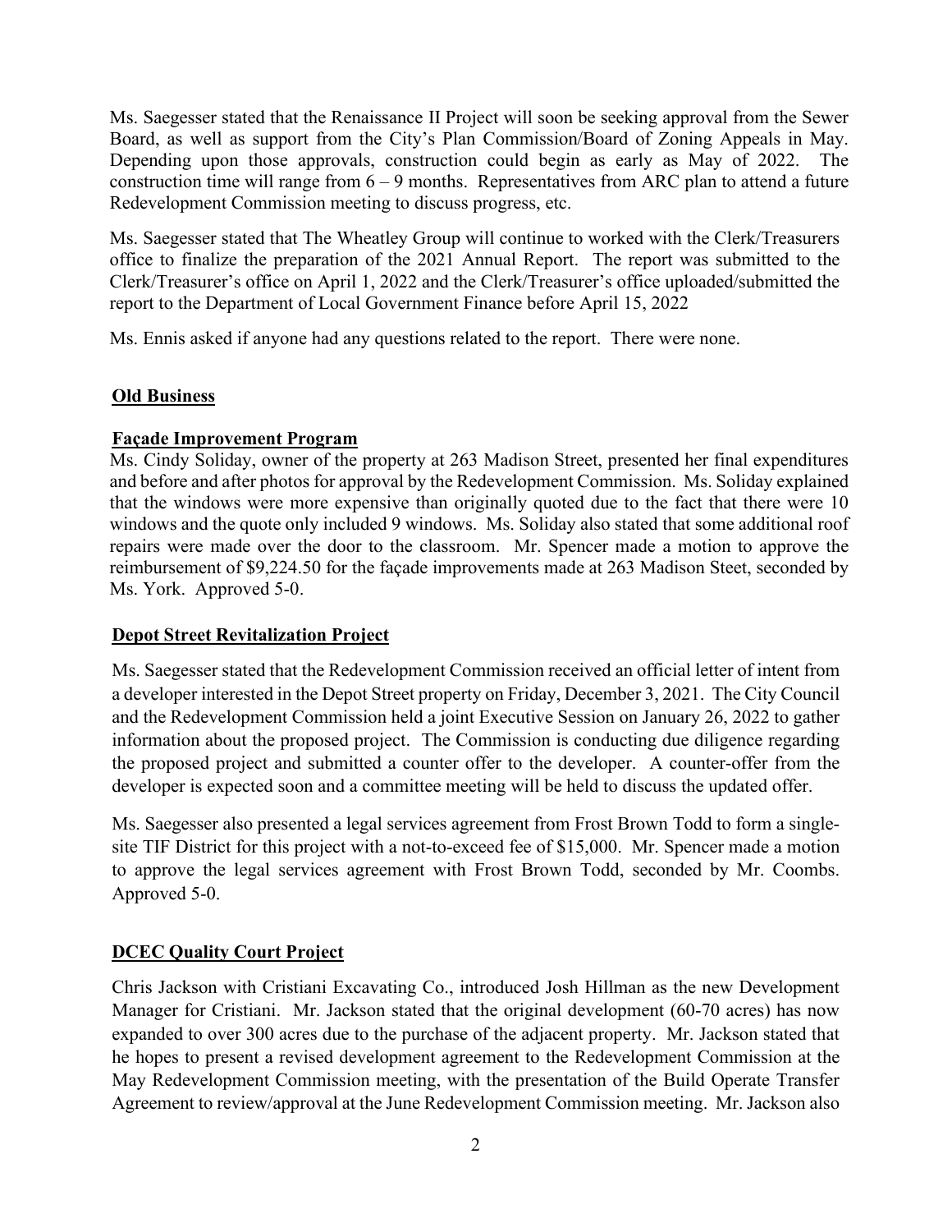Ms. Saegesser stated that the Renaissance II Project will soon be seeking approval from the Sewer Board, as well as support from the City's Plan Commission/Board of Zoning Appeals in May. Depending upon those approvals, construction could begin as early as May of 2022. The construction time will range from  $6 - 9$  months. Representatives from ARC plan to attend a future Redevelopment Commission meeting to discuss progress, etc.

Ms. Saegesser stated that The Wheatley Group will continue to worked with the Clerk/Treasurers office to finalize the preparation of the 2021 Annual Report. The report was submitted to the Clerk/Treasurer's office on April 1, 2022 and the Clerk/Treasurer's office uploaded/submitted the report to the Department of Local Government Finance before April 15, 2022

Ms. Ennis asked if anyone had any questions related to the report. There were none.

#### **Old Business**

### **Façade Improvement Program**

Ms. Cindy Soliday, owner of the property at 263 Madison Street, presented her final expenditures and before and after photos for approval by the Redevelopment Commission. Ms. Soliday explained that the windows were more expensive than originally quoted due to the fact that there were 10 windows and the quote only included 9 windows. Ms. Soliday also stated that some additional roof repairs were made over the door to the classroom. Mr. Spencer made a motion to approve the reimbursement of \$9,224.50 for the façade improvements made at 263 Madison Steet, seconded by Ms. York. Approved 5-0.

# **Depot Street Revitalization Project**

Ms. Saegesser stated that the Redevelopment Commission received an official letter of intent from a developer interested in the Depot Street property on Friday, December 3, 2021. The City Council and the Redevelopment Commission held a joint Executive Session on January 26, 2022 to gather information about the proposed project. The Commission is conducting due diligence regarding the proposed project and submitted a counter offer to the developer. A counter-offer from the developer is expected soon and a committee meeting will be held to discuss the updated offer.

Ms. Saegesser also presented a legal services agreement from Frost Brown Todd to form a singlesite TIF District for this project with a not-to-exceed fee of \$15,000. Mr. Spencer made a motion to approve the legal services agreement with Frost Brown Todd, seconded by Mr. Coombs. Approved 5-0.

# **DCEC Quality Court Project**

Chris Jackson with Cristiani Excavating Co., introduced Josh Hillman as the new Development Manager for Cristiani. Mr. Jackson stated that the original development (60-70 acres) has now expanded to over 300 acres due to the purchase of the adjacent property. Mr. Jackson stated that he hopes to present a revised development agreement to the Redevelopment Commission at the May Redevelopment Commission meeting, with the presentation of the Build Operate Transfer Agreement to review/approval at the June Redevelopment Commission meeting. Mr. Jackson also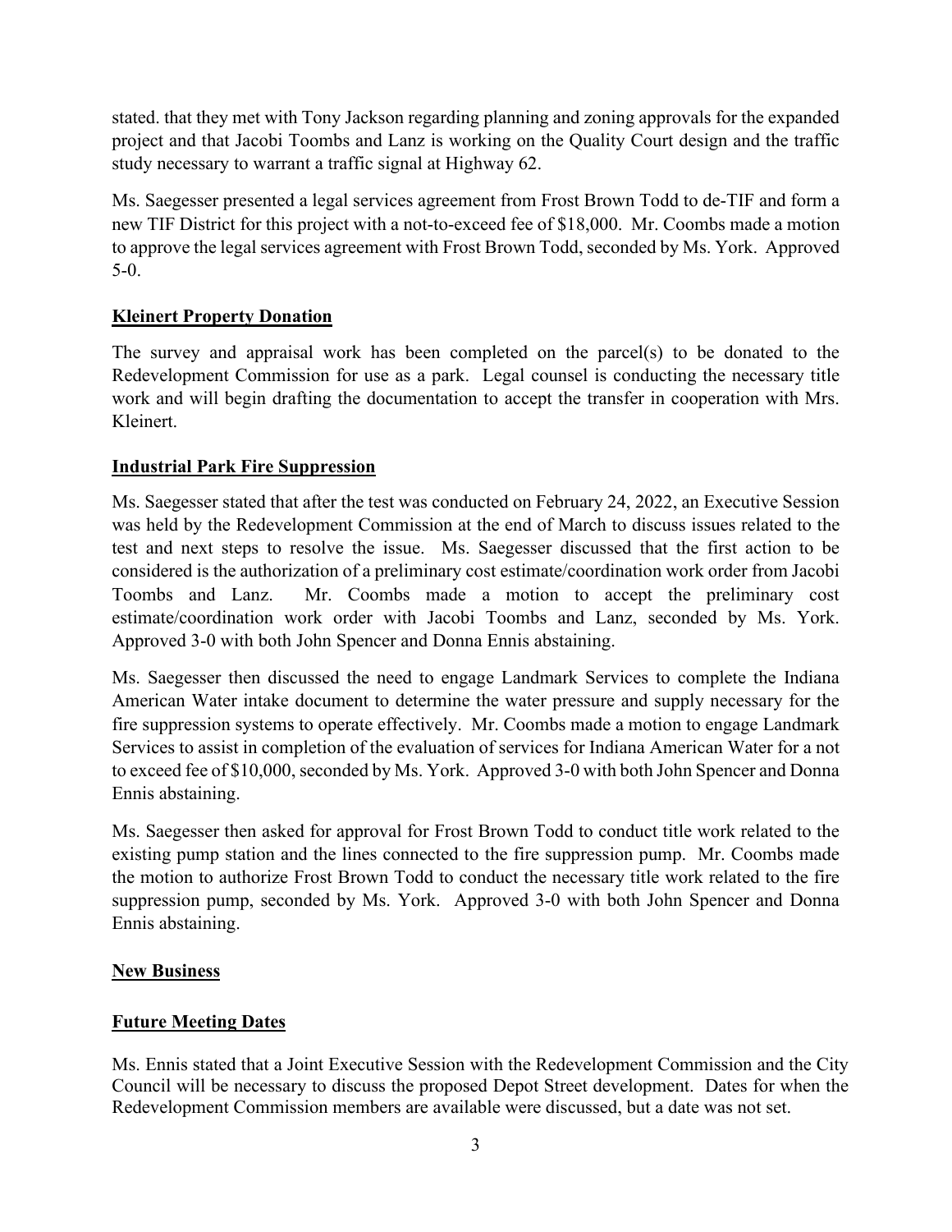stated. that they met with Tony Jackson regarding planning and zoning approvals for the expanded project and that Jacobi Toombs and Lanz is working on the Quality Court design and the traffic study necessary to warrant a traffic signal at Highway 62.

Ms. Saegesser presented a legal services agreement from Frost Brown Todd to de-TIF and form a new TIF District for this project with a not-to-exceed fee of \$18,000. Mr. Coombs made a motion to approve the legal services agreement with Frost Brown Todd, seconded by Ms. York. Approved 5-0.

# **Kleinert Property Donation**

The survey and appraisal work has been completed on the parcel(s) to be donated to the Redevelopment Commission for use as a park. Legal counsel is conducting the necessary title work and will begin drafting the documentation to accept the transfer in cooperation with Mrs. Kleinert.

# **Industrial Park Fire Suppression**

Ms. Saegesser stated that after the test was conducted on February 24, 2022, an Executive Session was held by the Redevelopment Commission at the end of March to discuss issues related to the test and next steps to resolve the issue. Ms. Saegesser discussed that the first action to be considered is the authorization of a preliminary cost estimate/coordination work order from Jacobi Toombs and Lanz. Mr. Coombs made a motion to accept the preliminary cost estimate/coordination work order with Jacobi Toombs and Lanz, seconded by Ms. York. Approved 3-0 with both John Spencer and Donna Ennis abstaining.

Ms. Saegesser then discussed the need to engage Landmark Services to complete the Indiana American Water intake document to determine the water pressure and supply necessary for the fire suppression systems to operate effectively. Mr. Coombs made a motion to engage Landmark Services to assist in completion of the evaluation of services for Indiana American Water for a not to exceed fee of \$10,000, seconded by Ms. York. Approved 3-0 with both John Spencer and Donna Ennis abstaining.

Ms. Saegesser then asked for approval for Frost Brown Todd to conduct title work related to the existing pump station and the lines connected to the fire suppression pump. Mr. Coombs made the motion to authorize Frost Brown Todd to conduct the necessary title work related to the fire suppression pump, seconded by Ms. York. Approved 3-0 with both John Spencer and Donna Ennis abstaining.

# **New Business**

# **Future Meeting Dates**

Ms. Ennis stated that a Joint Executive Session with the Redevelopment Commission and the City Council will be necessary to discuss the proposed Depot Street development. Dates for when the Redevelopment Commission members are available were discussed, but a date was not set.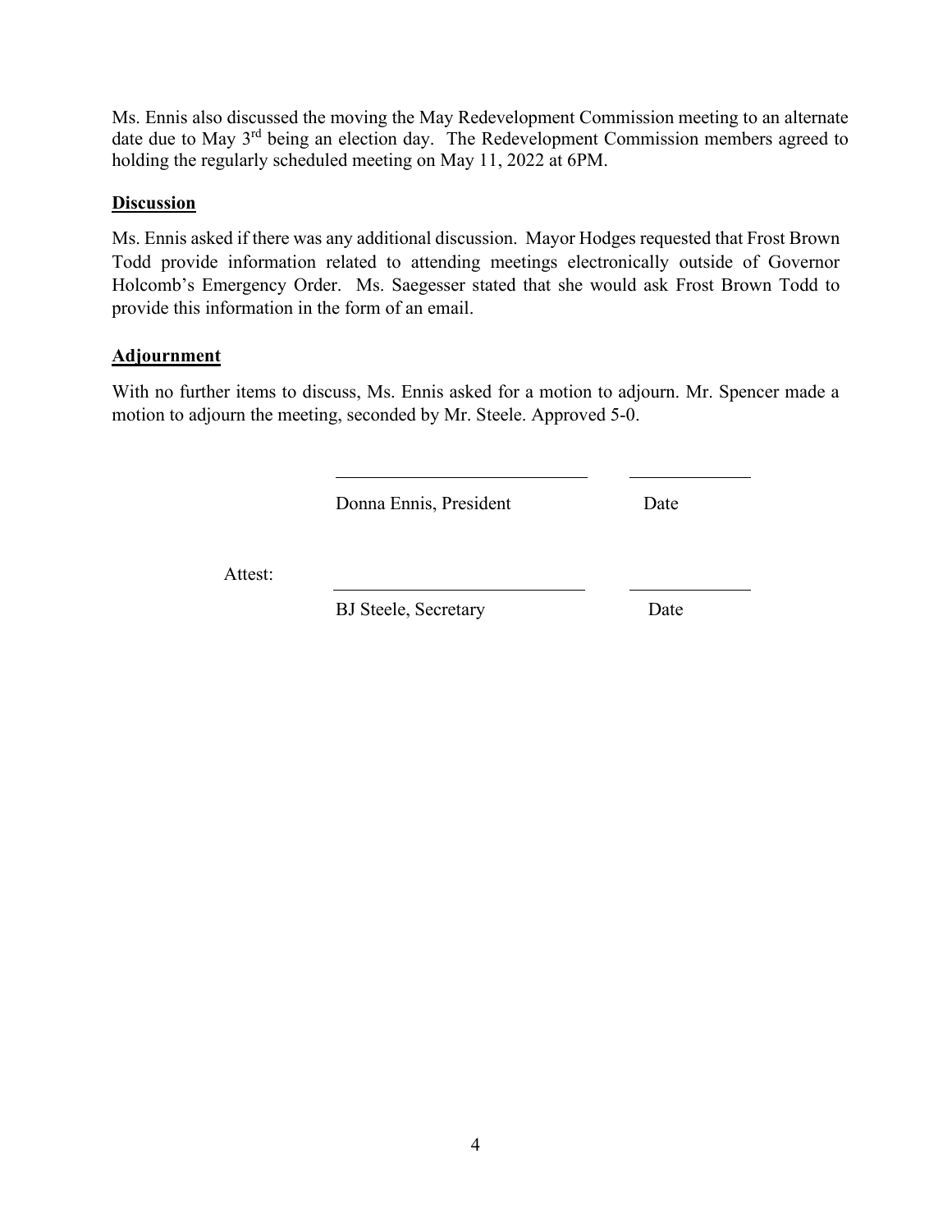Ms. Ennis also discussed the moving the May Redevelopment Commission meeting to an alternate date due to May 3rd being an election day. The Redevelopment Commission members agreed to holding the regularly scheduled meeting on May 11, 2022 at 6PM.

#### **Discussion**

Ms. Ennis asked if there was any additional discussion. Mayor Hodges requested that Frost Brown Todd provide information related to attending meetings electronically outside of Governor Holcomb's Emergency Order. Ms. Saegesser stated that she would ask Frost Brown Todd to provide this information in the form of an email.

#### **Adjournment**

With no further items to discuss, Ms. Ennis asked for a motion to adjourn. Mr. Spencer made a motion to adjourn the meeting, seconded by Mr. Steele. Approved 5-0.

Donna Ennis, President Date

Attest:

BJ Steele, Secretary Date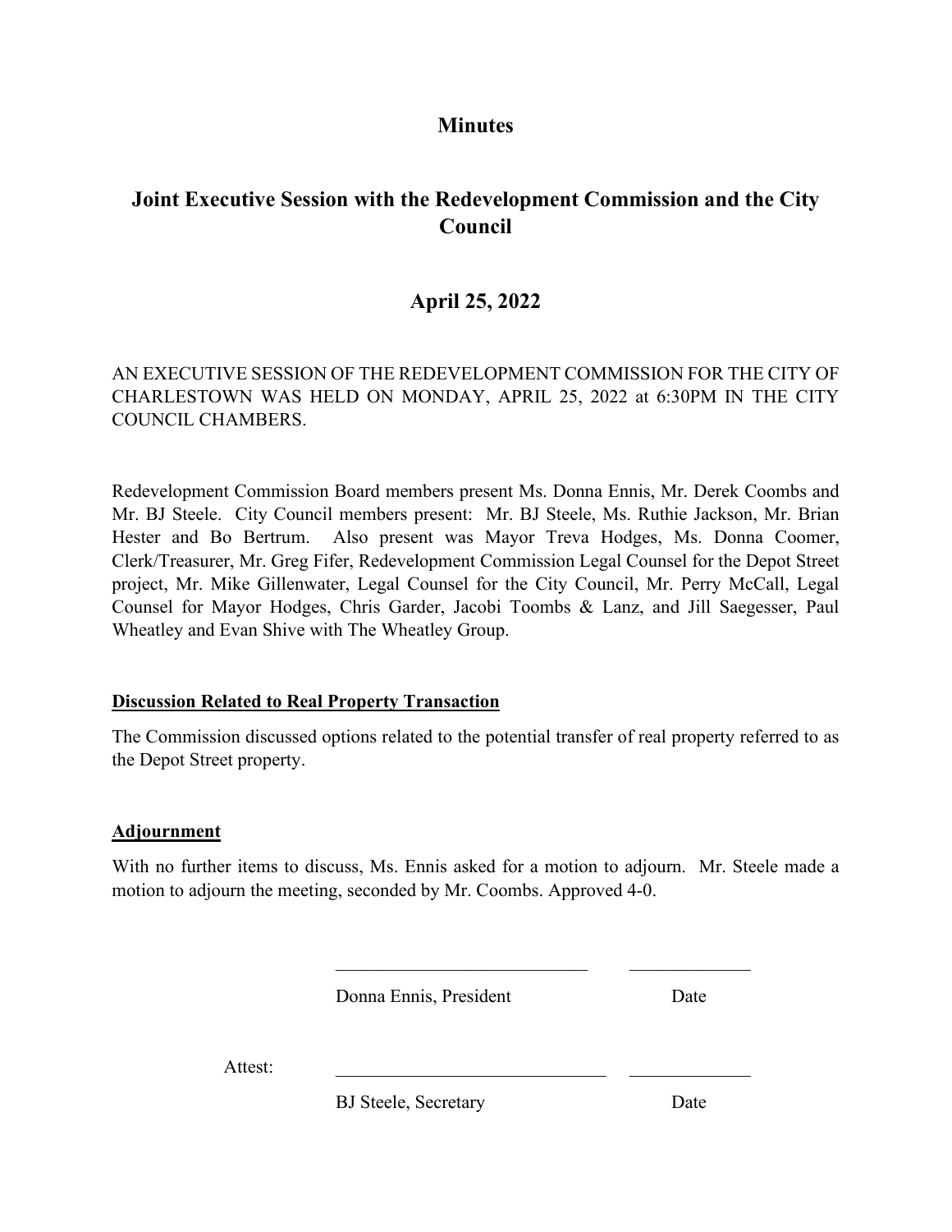# **Minutes**

# **Joint Executive Session with the Redevelopment Commission and the City Council**

# **April 25, 2022**

# AN EXECUTIVE SESSION OF THE REDEVELOPMENT COMMISSION FOR THE CITY OF CHARLESTOWN WAS HELD ON MONDAY, APRIL 25, 2022 at 6:30PM IN THE CITY COUNCIL CHAMBERS.

Redevelopment Commission Board members present Ms. Donna Ennis, Mr. Derek Coombs and Mr. BJ Steele. City Council members present: Mr. BJ Steele, Ms. Ruthie Jackson, Mr. Brian Hester and Bo Bertrum. Also present was Mayor Treva Hodges, Ms. Donna Coomer, Clerk/Treasurer, Mr. Greg Fifer, Redevelopment Commission Legal Counsel for the Depot Street project, Mr. Mike Gillenwater, Legal Counsel for the City Council, Mr. Perry McCall, Legal Counsel for Mayor Hodges, Chris Garder, Jacobi Toombs & Lanz, and Jill Saegesser, Paul Wheatley and Evan Shive with The Wheatley Group.

# **Discussion Related to Real Property Transaction**

The Commission discussed options related to the potential transfer of real property referred to as the Depot Street property.

# **Adjournment**

With no further items to discuss, Ms. Ennis asked for a motion to adjourn. Mr. Steele made a motion to adjourn the meeting, seconded by Mr. Coombs. Approved 4-0.

Donna Ennis, President Date

Attest:

BJ Steele, Secretary Date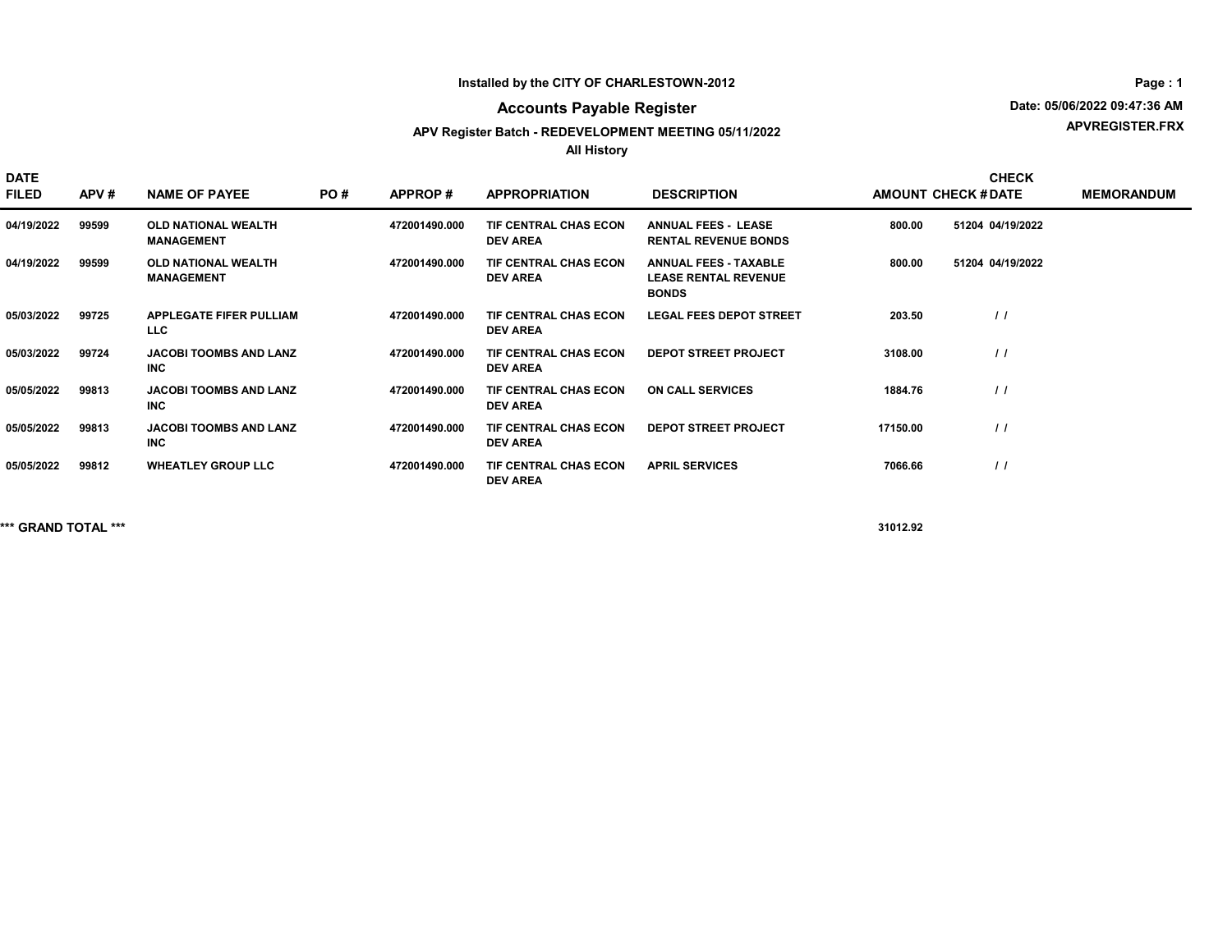#### Installed by the CITY OF CHARLESTOWN-2012

#### Accounts Payable Register

#### APV Register Batch - REDEVELOPMENT MEETING 05/11/2022

All History

APVREGISTER.FRX Date: 05/06/2022 09:47:36 AM

DATE FILED APV # NAME OF PAYEE PO # APPROP # APPROPRIATION DESCRIPTION AMOUNT CHECK # DATE MEMORANDUM CHECK 04/19/2022 99599 OLD NATIONAL WEALTH MANAGEMENT 472001490.000 TIF CENTRAL CHAS ECON ANNUAL FEES-LEASE 800.00 51204 04/19/2022 DEV AREA ANNUAL FEES - LEASE 800.00 51204 04/19/2022 RENTAL REVENUE BONDS 04/19/2022 99599 OLD NATIONAL WEALTH MANAGEMENT 472001490.000 TIF CENTRAL CHAS ECON ANNUAL FEES - TAXABLE 800.00 51204 04/19/2022 DEV AREA ANNUAL FEES - TAXABLE 800.00 51204 LEASE RENTAL REVENUE BONDS 05/03/2022 99725 APPLEGATE FIFER PULLIAM LLC TIF CENTRAL CHAS ECON DEV AREA 472001490.000 TIF CENTRAL CHAS ECON LEGAL FEES DEPOT STREET 203.50 / / 05/03/2022 99724 JACOBI TOOMBS AND LANZ INC 472001490.000 TIF CENTRAL CHAS ECON DEPOT STREET PROJECT 3108.00 / / DEV AREA 05/05/2022 99813 JACOBI TOOMBS AND LANZ INC 472001490.000 TIF CENTRAL CHAS ECON ON CALL SERVICES 4884.76 (1992) 1984.76 DEV AREA 05/05/2022 99813 JACOBI TOOMBS AND LANZ INC 472001490.000 TIF CENTRAL CHAS ECON DEPOT STREET PROJECT  $\vert$  / /  $\vert$ DEV AREA 05/05/2022 99812 WHEATLEY GROUP LLC 472001490.000 TIF CENTRAL CHAS ECON APRIL SERVICES 7066.66 7066.66 1 DEV AREA

\*\*\* GRAND TOTAL \*\*\* 31012.92

Page : 1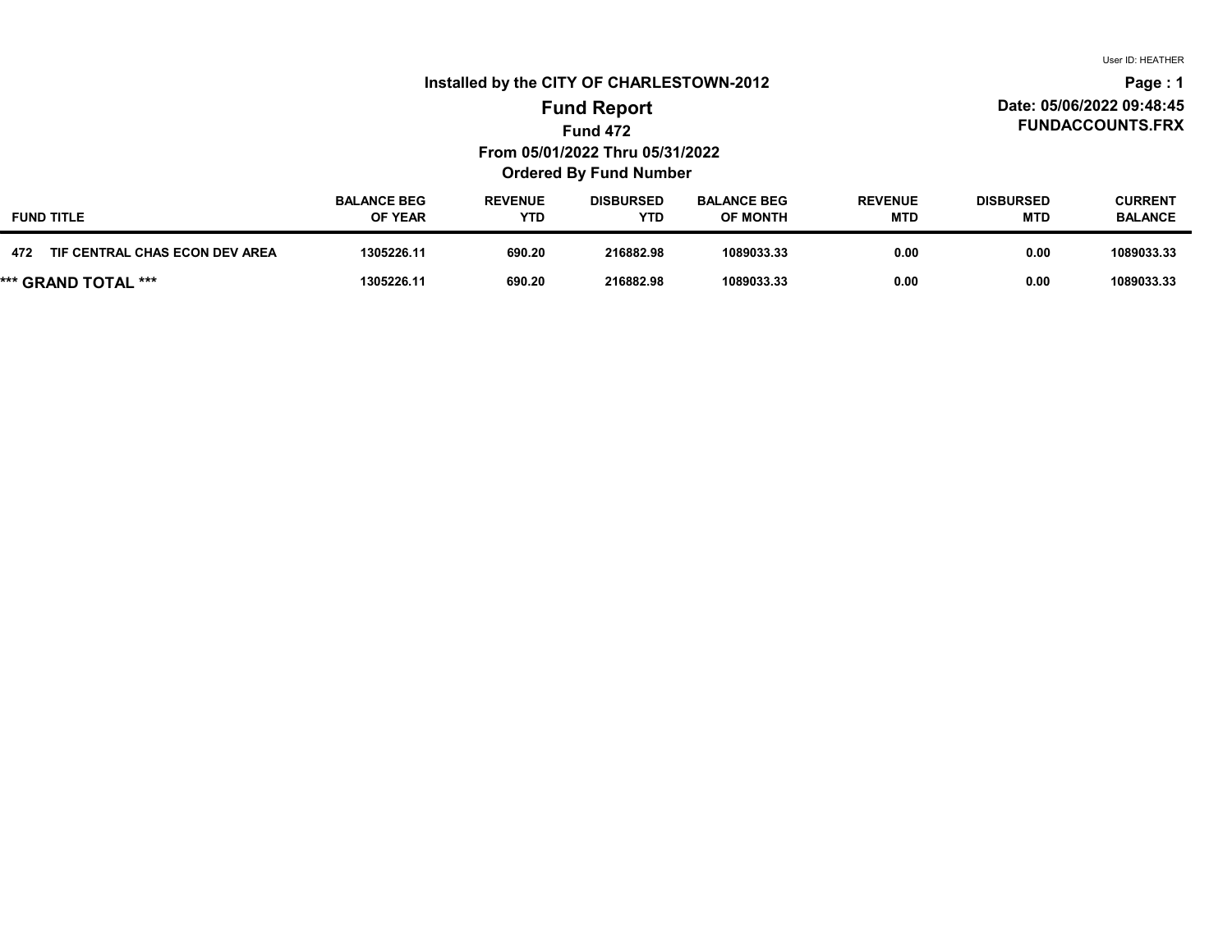User ID: HEATHER

### Installed by the CITY OF CHARLESTOWN-2012

#### FUNDACCOUNTS.FRX Date: 05/06/2022 09:48:45 Page : 1

# Fund 472 From 05/01/2022 Thru 05/31/2022 Ordered By Fund Number Fund Report

| <b>FUND TITLE</b>                     | <b>BALANCE BEG</b><br><b>OF YEAR</b> | <b>REVENUE</b><br>YTD | <b>DISBURSED</b><br><b>YTD</b> | <b>BALANCE BEG</b><br><b>OF MONTH</b> | <b>REVENUE</b><br><b>MTD</b> | <b>DISBURSED</b><br>MTD | <b>CURRENT</b><br><b>BALANCE</b> |
|---------------------------------------|--------------------------------------|-----------------------|--------------------------------|---------------------------------------|------------------------------|-------------------------|----------------------------------|
| 472<br>TIF CENTRAL CHAS ECON DEV AREA | 1305226.11                           | 690.20                | 216882.98                      | 1089033.33                            | 0.00                         | 0.00                    | 1089033.33                       |
| *** GRAND TOTAL ***                   | 1305226.11                           | 690.20                | 216882.98                      | 1089033.33                            | 0.00                         | 0.00                    | 1089033.33                       |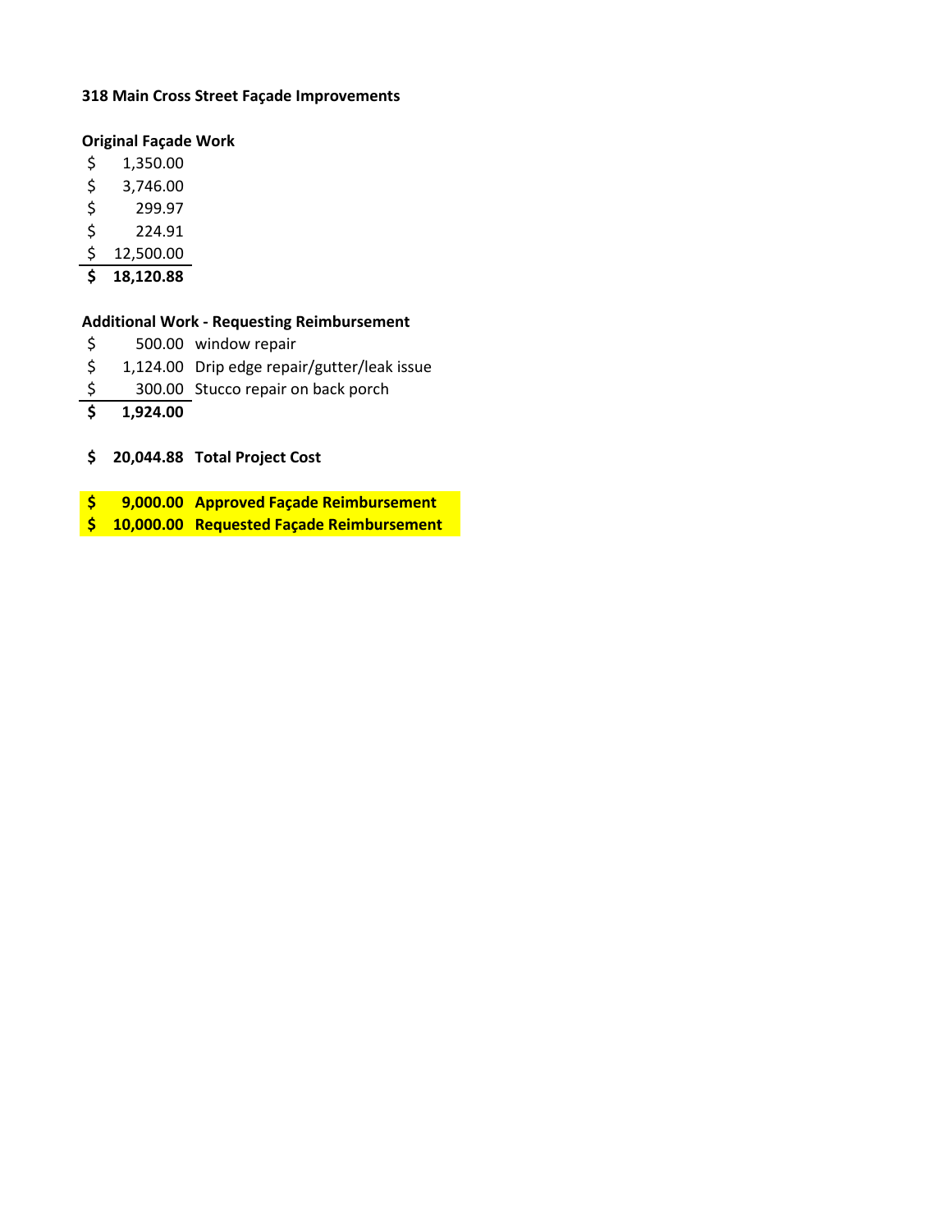#### **318 Main Cross Street Façade Improvements**

#### **Original Façade Work**

- \$ 1,350.00
- $$3,746.00$
- \$ 299.97
- $$ 224.91$
- \$ 12,500.00
- **\$ 18,120.88**

#### **Additional Work - Requesting Reimbursement**

- \$ 500.00 window repair
- \$ 1,124.00 Drip edge repair/gutter/leak issue
- \$ 300.00 Stucco repair on back porch
- **\$ 1,924.00**
- **\$ 20,044.88 Total Project Cost**
- **\$ 9,000.00 Approved Façade Reimbursement**
- **\$ 10,000.00 Requested Façade Reimbursement**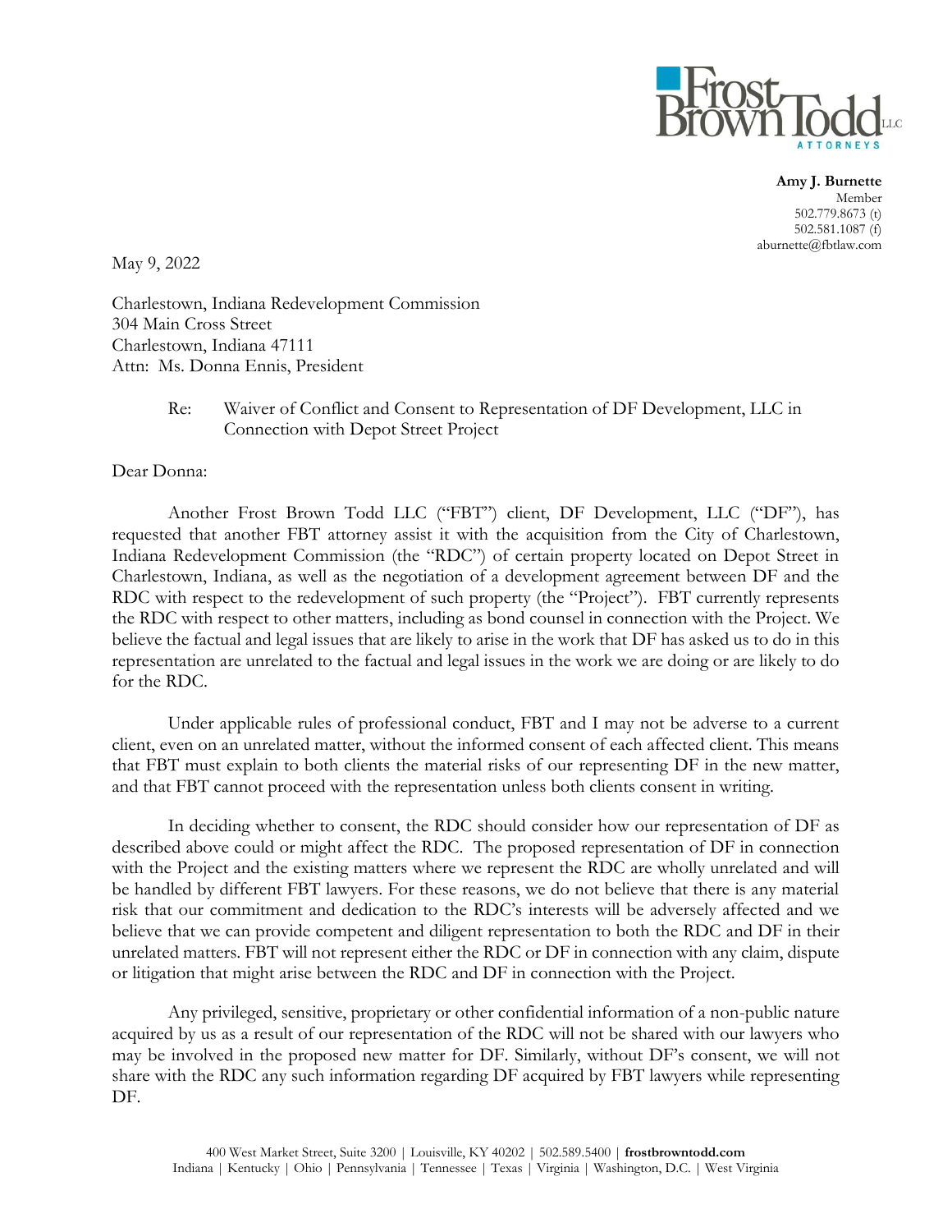

**Amy J. Burnette** Member 502.779.8673 (t) 502.581.1087 (f) aburnette@fbtlaw.com

May 9, 2022

Charlestown, Indiana Redevelopment Commission 304 Main Cross Street Charlestown, Indiana 47111 Attn: Ms. Donna Ennis, President

#### Re: Waiver of Conflict and Consent to Representation of DF Development, LLC in Connection with Depot Street Project

Dear Donna:

Another Frost Brown Todd LLC ("FBT") client, DF Development, LLC ("DF"), has requested that another FBT attorney assist it with the acquisition from the City of Charlestown, Indiana Redevelopment Commission (the "RDC") of certain property located on Depot Street in Charlestown, Indiana, as well as the negotiation of a development agreement between DF and the RDC with respect to the redevelopment of such property (the "Project"). FBT currently represents the RDC with respect to other matters, including as bond counsel in connection with the Project. We believe the factual and legal issues that are likely to arise in the work that DF has asked us to do in this representation are unrelated to the factual and legal issues in the work we are doing or are likely to do for the RDC.

Under applicable rules of professional conduct, FBT and I may not be adverse to a current client, even on an unrelated matter, without the informed consent of each affected client. This means that FBT must explain to both clients the material risks of our representing DF in the new matter, and that FBT cannot proceed with the representation unless both clients consent in writing.

In deciding whether to consent, the RDC should consider how our representation of DF as described above could or might affect the RDC. The proposed representation of DF in connection with the Project and the existing matters where we represent the RDC are wholly unrelated and will be handled by different FBT lawyers. For these reasons, we do not believe that there is any material risk that our commitment and dedication to the RDC's interests will be adversely affected and we believe that we can provide competent and diligent representation to both the RDC and DF in their unrelated matters. FBT will not represent either the RDC or DF in connection with any claim, dispute or litigation that might arise between the RDC and DF in connection with the Project.

Any privileged, sensitive, proprietary or other confidential information of a non-public nature acquired by us as a result of our representation of the RDC will not be shared with our lawyers who may be involved in the proposed new matter for DF. Similarly, without DF's consent, we will not share with the RDC any such information regarding DF acquired by FBT lawyers while representing DF.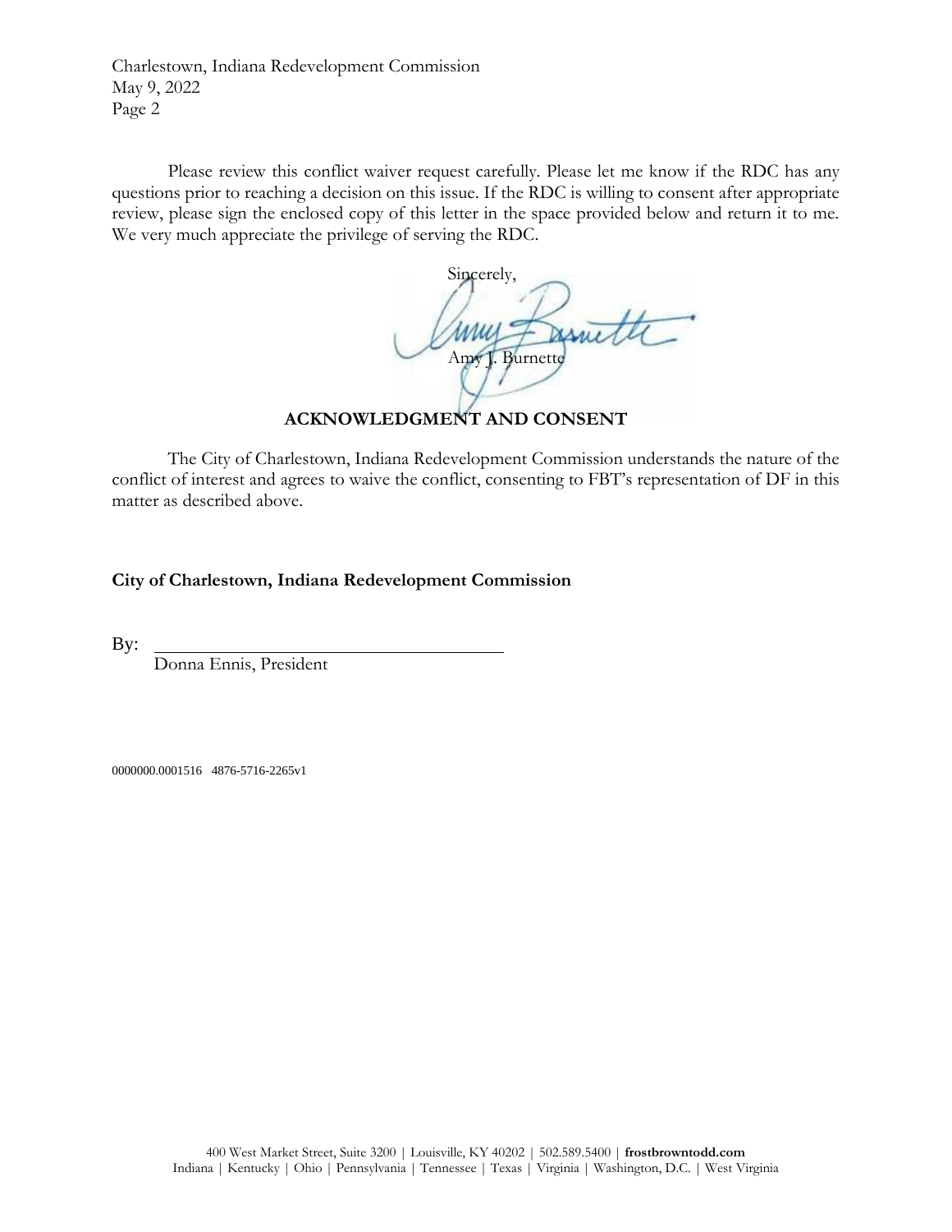Charlestown, Indiana Redevelopment Commission May 9, 2022 Page 2

Please review this conflict waiver request carefully. Please let me know if the RDC has any questions prior to reaching a decision on this issue. If the RDC is willing to consent after appropriate review, please sign the enclosed copy of this letter in the space provided below and return it to me. We very much appreciate the privilege of serving the RDC.

Sincerely, Amy J. Burnett

**ACKNOWLEDGMENT AND CONSENT**

The City of Charlestown, Indiana Redevelopment Commission understands the nature of the conflict of interest and agrees to waive the conflict, consenting to FBT's representation of DF in this matter as described above.

**City of Charlestown, Indiana Redevelopment Commission**

By:

Donna Ennis, President

0000000.0001516 4876-5716-2265v1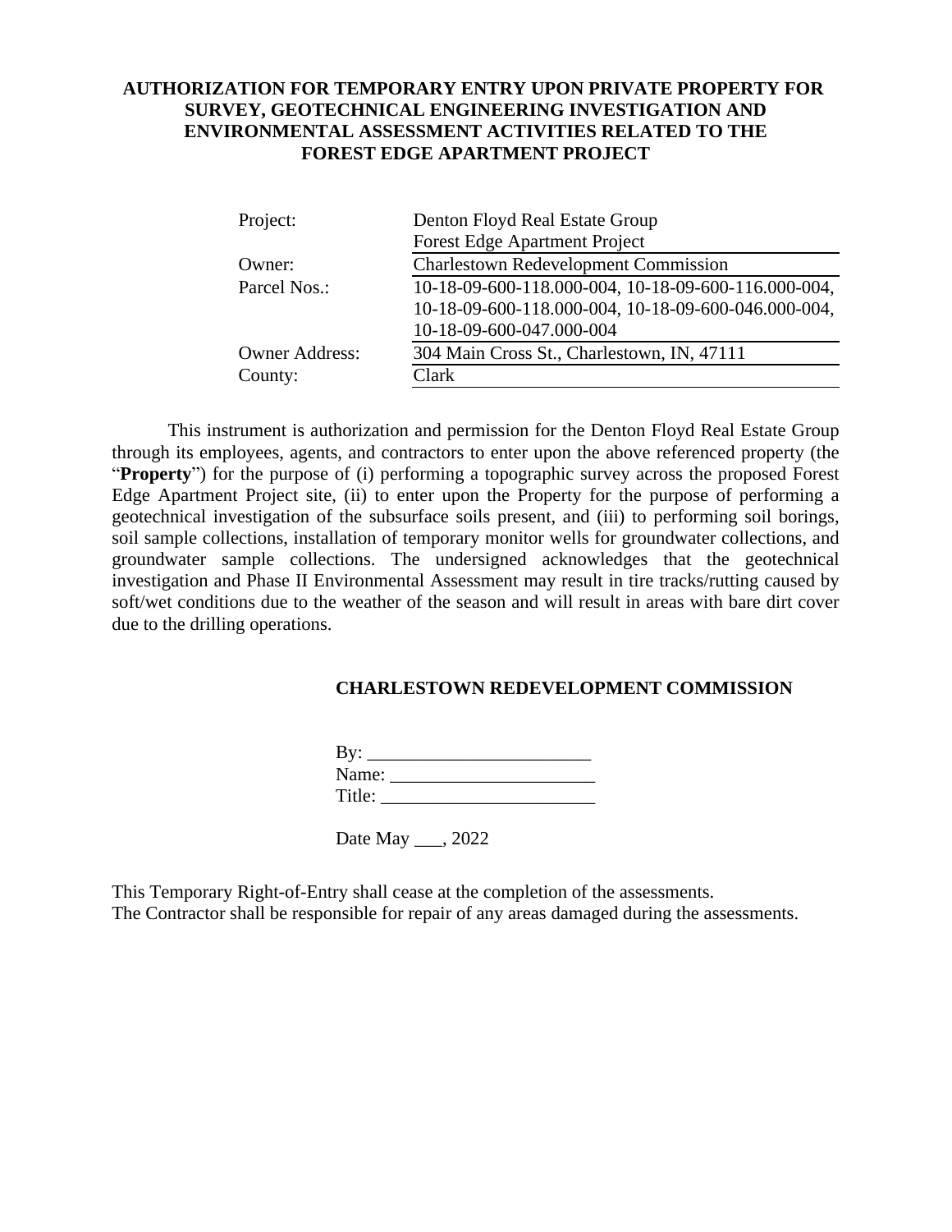### **AUTHORIZATION FOR TEMPORARY ENTRY UPON PRIVATE PROPERTY FOR SURVEY, GEOTECHNICAL ENGINEERING INVESTIGATION AND ENVIRONMENTAL ASSESSMENT ACTIVITIES RELATED TO THE FOREST EDGE APARTMENT PROJECT**

| Project:              | Denton Floyd Real Estate Group                      |  |  |  |  |
|-----------------------|-----------------------------------------------------|--|--|--|--|
|                       | <b>Forest Edge Apartment Project</b>                |  |  |  |  |
| Owner:                | <b>Charlestown Redevelopment Commission</b>         |  |  |  |  |
| Parcel Nos.:          | 10-18-09-600-118.000-004, 10-18-09-600-116.000-004, |  |  |  |  |
|                       | 10-18-09-600-118.000-004, 10-18-09-600-046.000-004, |  |  |  |  |
|                       | 10-18-09-600-047.000-004                            |  |  |  |  |
| <b>Owner Address:</b> | 304 Main Cross St., Charlestown, IN, 47111          |  |  |  |  |
| County:               | Clark                                               |  |  |  |  |

This instrument is authorization and permission for the Denton Floyd Real Estate Group through its employees, agents, and contractors to enter upon the above referenced property (the "**Property**") for the purpose of (i) performing a topographic survey across the proposed Forest Edge Apartment Project site, (ii) to enter upon the Property for the purpose of performing a geotechnical investigation of the subsurface soils present, and (iii) to performing soil borings, soil sample collections, installation of temporary monitor wells for groundwater collections, and groundwater sample collections. The undersigned acknowledges that the geotechnical investigation and Phase II Environmental Assessment may result in tire tracks/rutting caused by soft/wet conditions due to the weather of the season and will result in areas with bare dirt cover due to the drilling operations.

### **CHARLESTOWN REDEVELOPMENT COMMISSION**

| By:    |  |
|--------|--|
| Name:  |  |
| Title: |  |

Date May \_\_\_, 2022

This Temporary Right-of-Entry shall cease at the completion of the assessments. The Contractor shall be responsible for repair of any areas damaged during the assessments.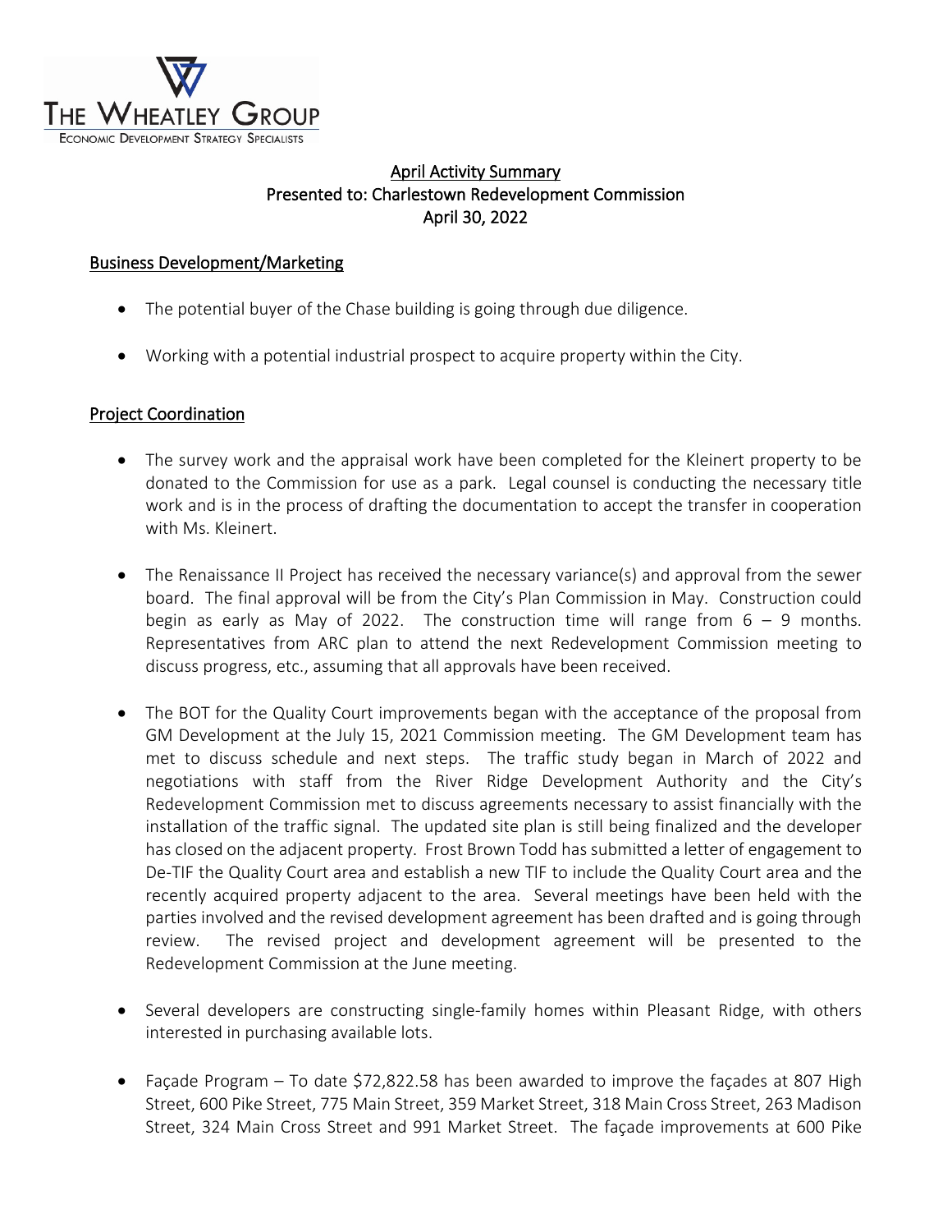

# April Activity Summary Presented to: Charlestown Redevelopment Commission April 30, 2022

# Business Development/Marketing

- The potential buyer of the Chase building is going through due diligence.
- Working with a potential industrial prospect to acquire property within the City.

#### Project Coordination

- The survey work and the appraisal work have been completed for the Kleinert property to be donated to the Commission for use as a park. Legal counsel is conducting the necessary title work and is in the process of drafting the documentation to accept the transfer in cooperation with Ms. Kleinert.
- The Renaissance II Project has received the necessary variance(s) and approval from the sewer board. The final approval will be from the City's Plan Commission in May. Construction could begin as early as May of 2022. The construction time will range from  $6 - 9$  months. Representatives from ARC plan to attend the next Redevelopment Commission meeting to discuss progress, etc., assuming that all approvals have been received.
- The BOT for the Quality Court improvements began with the acceptance of the proposal from GM Development at the July 15, 2021 Commission meeting. The GM Development team has met to discuss schedule and next steps. The traffic study began in March of 2022 and negotiations with staff from the River Ridge Development Authority and the City's Redevelopment Commission met to discuss agreements necessary to assist financially with the installation of the traffic signal. The updated site plan is still being finalized and the developer has closed on the adjacent property. Frost Brown Todd has submitted a letter of engagement to De-TIF the Quality Court area and establish a new TIF to include the Quality Court area and the recently acquired property adjacent to the area. Several meetings have been held with the parties involved and the revised development agreement has been drafted and is going through review. The revised project and development agreement will be presented to the Redevelopment Commission at the June meeting.
- Several developers are constructing single-family homes within Pleasant Ridge, with others interested in purchasing available lots.
- Façade Program To date \$72,822.58 has been awarded to improve the façades at 807 High Street, 600 Pike Street, 775 Main Street, 359 Market Street, 318 Main Cross Street, 263 Madison Street, 324 Main Cross Street and 991 Market Street. The façade improvements at 600 Pike